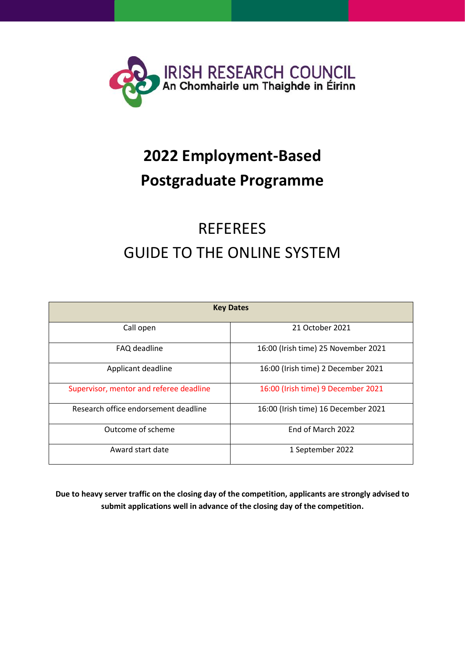

# **2022 Employment-Based Postgraduate Programme**

## REFEREES GUIDE TO THE ONLINE SYSTEM

| <b>Key Dates</b>                        |                                     |  |
|-----------------------------------------|-------------------------------------|--|
| Call open                               | 21 October 2021                     |  |
| FAQ deadline                            | 16:00 (Irish time) 25 November 2021 |  |
| Applicant deadline                      | 16:00 (Irish time) 2 December 2021  |  |
| Supervisor, mentor and referee deadline | 16:00 (Irish time) 9 December 2021  |  |
| Research office endorsement deadline    | 16:00 (Irish time) 16 December 2021 |  |
| Outcome of scheme                       | End of March 2022                   |  |
| Award start date                        | 1 September 2022                    |  |

**Due to heavy server traffic on the closing day of the competition, applicants are strongly advised to submit applications well in advance of the closing day of the competition.**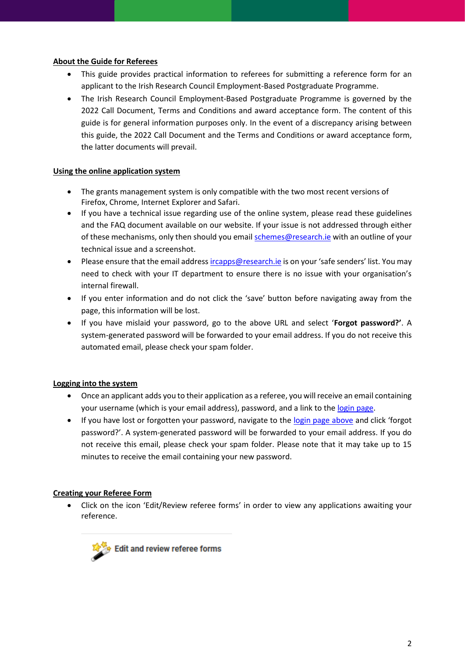### **About the Guide for Referees**

- This guide provides practical information to referees for submitting a reference form for an applicant to the Irish Research Council Employment-Based Postgraduate Programme.
- The Irish Research Council Employment-Based Postgraduate Programme is governed by the 2022 Call Document, Terms and Conditions and award acceptance form. The content of this guide is for general information purposes only. In the event of a discrepancy arising between this guide, the 2022 Call Document and the Terms and Conditions or award acceptance form, the latter documents will prevail.

#### **Using the online application system**

- The grants management system is only compatible with the two most recent versions of Firefox, Chrome, Internet Explorer and Safari.
- If you have a technical issue regarding use of the online system, please read these guidelines and the FAQ document available on our website. If your issue is not addressed through either of these mechanisms, only then should you emai[l schemes@research.ie](mailto:schemes@research.ie) with an outline of your technical issue and a screenshot.
- Please ensure that the email address [ircapps@research.ie](mailto:ircapps@research.ie) is on your 'safe senders' list. You may need to check with your IT department to ensure there is no issue with your organisation's internal firewall.
- If you enter information and do not click the 'save' button before navigating away from the page, this information will be lost.
- If you have mislaid your password, go to the above URL and select '**Forgot password?'**. A system-generated password will be forwarded to your email address. If you do not receive this automated email, please check your spam folder.

## **Logging into the system**

- Once an applicant adds you to their application as a referee, you will receive an email containing your username (which is your email address), password, and a link to the [login page.](https://irishresearch.smartsimple.ie/s_Login.jsp)
- If you have lost or forgotten your password, navigate to the [login page above](https://irishresearch.smartsimple.ie/) and click 'forgot password?'. A system-generated password will be forwarded to your email address. If you do not receive this email, please check your spam folder. Please note that it may take up to 15 minutes to receive the email containing your new password.

## **Creating your Referee Form**

• Click on the icon 'Edit/Review referee forms' in order to view any applications awaiting your reference.

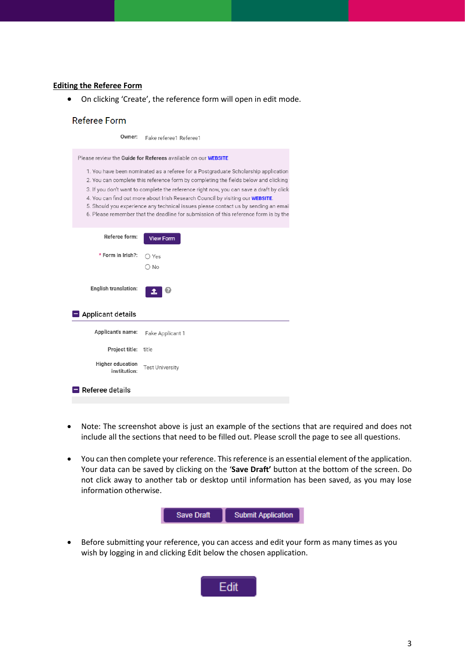#### **Editing the Referee Form**

• On clicking 'Create', the reference form will open in edit mode.

#### **Referee Form**

| Owner:                                  | Fake referee1 Referee1                                                                                                                                                                                                                                                                                                                                                                                                                                                                                                                    |
|-----------------------------------------|-------------------------------------------------------------------------------------------------------------------------------------------------------------------------------------------------------------------------------------------------------------------------------------------------------------------------------------------------------------------------------------------------------------------------------------------------------------------------------------------------------------------------------------------|
|                                         | Please review the Guide for Referees available on our WEBSITE                                                                                                                                                                                                                                                                                                                                                                                                                                                                             |
|                                         | 1. You have been nominated as a referee for a Postgraduate Scholarship application<br>2. You can complete this reference form by completing the fields below and clicking to<br>3. If you don't want to complete the reference right now, you can save a draft by clicki<br>4. You can find out more about Irish Research Council by visiting our WEBSITE.<br>5. Should you experience any technical issues please contact us by sending an email<br>6. Please remember that the deadline for submission of this reference form is by the |
| Referee form:                           | <b>View Form</b>                                                                                                                                                                                                                                                                                                                                                                                                                                                                                                                          |
| * Form in Irish?:                       | ) Yes                                                                                                                                                                                                                                                                                                                                                                                                                                                                                                                                     |
| <b>English translation:</b>             | ∩ No<br>I.                                                                                                                                                                                                                                                                                                                                                                                                                                                                                                                                |
| $\blacksquare$ Applicant details        |                                                                                                                                                                                                                                                                                                                                                                                                                                                                                                                                           |
| Applicant's name:                       | Fake Applicant 1                                                                                                                                                                                                                                                                                                                                                                                                                                                                                                                          |
| Project title:                          | title                                                                                                                                                                                                                                                                                                                                                                                                                                                                                                                                     |
| <b>Higher education</b><br>institution: | <b>Test University</b>                                                                                                                                                                                                                                                                                                                                                                                                                                                                                                                    |
| Referee details                         |                                                                                                                                                                                                                                                                                                                                                                                                                                                                                                                                           |
|                                         |                                                                                                                                                                                                                                                                                                                                                                                                                                                                                                                                           |

- Note: The screenshot above is just an example of the sections that are required and does not include all the sections that need to be filled out. Please scroll the page to see all questions.
- You can then complete your reference. This reference is an essential element of the application. Your data can be saved by clicking on the '**Save Draft'** button at the bottom of the screen. Do not click away to another tab or desktop until information has been saved, as you may lose information otherwise.



• Before submitting your reference, you can access and edit your form as many times as you wish by logging in and clicking Edit below the chosen application.